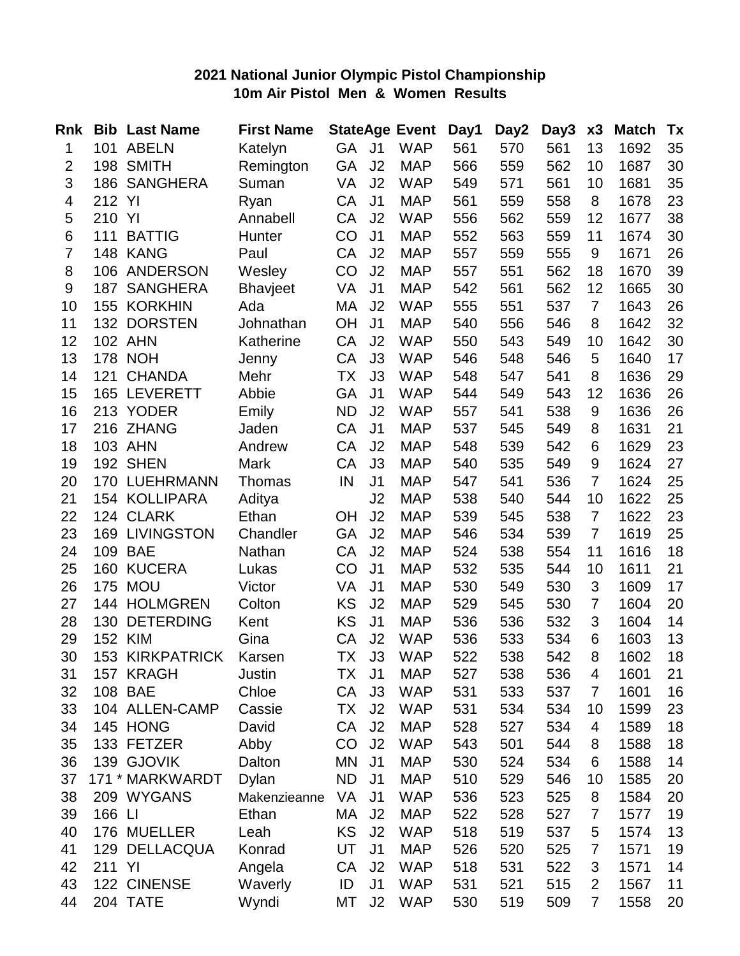#### **2021 National Junior Olympic Pistol Championship 10m Air Pistol Men & Women Results**

| <b>Rnk</b>     | <b>Bib</b> | <b>Last Name</b>      | <b>First Name</b> |           |                | <b>StateAge Event</b> | Day1 | Day2 | Day3 | x3             | <b>Match</b> | Tx |
|----------------|------------|-----------------------|-------------------|-----------|----------------|-----------------------|------|------|------|----------------|--------------|----|
| 1              | 101        | <b>ABELN</b>          | Katelyn           | <b>GA</b> | J <sub>1</sub> | <b>WAP</b>            | 561  | 570  | 561  | 13             | 1692         | 35 |
| $\overline{2}$ | 198        | <b>SMITH</b>          | Remington         | GA        | J2             | <b>MAP</b>            | 566  | 559  | 562  | 10             | 1687         | 30 |
| 3              |            | 186 SANGHERA          | Suman             | VA        | J2             | <b>WAP</b>            | 549  | 571  | 561  | 10             | 1681         | 35 |
| 4              | 212        | YI                    | Ryan              | CA        | J <sub>1</sub> | <b>MAP</b>            | 561  | 559  | 558  | 8              | 1678         | 23 |
| 5              | 210        | YI                    | Annabell          | CA        | J2             | <b>WAP</b>            | 556  | 562  | 559  | 12             | 1677         | 38 |
| 6              | 111        | <b>BATTIG</b>         | Hunter            | CO        | J <sub>1</sub> | <b>MAP</b>            | 552  | 563  | 559  | 11             | 1674         | 30 |
| $\overline{7}$ | 148        | <b>KANG</b>           | Paul              | CA        | J2             | <b>MAP</b>            | 557  | 559  | 555  | 9              | 1671         | 26 |
| 8              | 106        | <b>ANDERSON</b>       | Wesley            | CO        | J2             | <b>MAP</b>            | 557  | 551  | 562  | 18             | 1670         | 39 |
| 9              | 187        | <b>SANGHERA</b>       | <b>Bhavjeet</b>   | VA        | J <sub>1</sub> | <b>MAP</b>            | 542  | 561  | 562  | 12             | 1665         | 30 |
| 10             | 155        | <b>KORKHIN</b>        | Ada               | МA        | J2             | <b>WAP</b>            | 555  | 551  | 537  | $\overline{7}$ | 1643         | 26 |
| 11             |            | 132 DORSTEN           | Johnathan         | OH        | J <sub>1</sub> | <b>MAP</b>            | 540  | 556  | 546  | 8              | 1642         | 32 |
| 12             |            | 102 AHN               | Katherine         | CA        | J2             | <b>WAP</b>            | 550  | 543  | 549  | 10             | 1642         | 30 |
| 13             |            | <b>178 NOH</b>        | Jenny             | CA        | J3             | <b>WAP</b>            | 546  | 548  | 546  | 5              | 1640         | 17 |
| 14             | 121        | <b>CHANDA</b>         | Mehr              | ТX        | J3             | <b>WAP</b>            | 548  | 547  | 541  | 8              | 1636         | 29 |
| 15             |            | 165 LEVERETT          | Abbie             | GA        | J <sub>1</sub> | <b>WAP</b>            | 544  | 549  | 543  | 12             | 1636         | 26 |
| 16             |            | 213 YODER             | Emily             | <b>ND</b> | J2             | <b>WAP</b>            | 557  | 541  | 538  | 9              | 1636         | 26 |
| 17             |            | 216 ZHANG             | Jaden             | CA        | J <sub>1</sub> | <b>MAP</b>            | 537  | 545  | 549  | 8              | 1631         | 21 |
| 18             |            | 103 AHN               | Andrew            | CA        | J2             | <b>MAP</b>            | 548  | 539  | 542  | 6              | 1629         | 23 |
| 19             |            | 192 SHEN              | Mark              | CA        | J3             | <b>MAP</b>            | 540  | 535  | 549  | 9              | 1624         | 27 |
| 20             |            | 170 LUEHRMANN         | Thomas            | IN        | J <sub>1</sub> | <b>MAP</b>            | 547  | 541  | 536  | $\overline{7}$ | 1624         | 25 |
| 21             |            | 154 KOLLIPARA         | Aditya            |           | J2             | <b>MAP</b>            | 538  | 540  | 544  | 10             | 1622         | 25 |
| 22             |            | 124 CLARK             | Ethan             | <b>OH</b> | J2             | <b>MAP</b>            | 539  | 545  | 538  | $\overline{7}$ | 1622         | 23 |
| 23             |            | <b>169 LIVINGSTON</b> | Chandler          | GA        | J <sub>2</sub> | <b>MAP</b>            | 546  | 534  | 539  | $\overline{7}$ | 1619         | 25 |
| 24             | 109        | <b>BAE</b>            | Nathan            | CA        | J2             | <b>MAP</b>            | 524  | 538  | 554  | 11             | 1616         | 18 |
| 25             | 160        | <b>KUCERA</b>         | Lukas             | CO        | J <sub>1</sub> | <b>MAP</b>            | 532  | 535  | 544  | 10             | 1611         | 21 |
| 26             | 175        | <b>MOU</b>            | Victor            | VA        | J <sub>1</sub> | <b>MAP</b>            | 530  | 549  | 530  | 3              | 1609         | 17 |
| 27             |            | 144 HOLMGREN          | Colton            | KS        | J2             | <b>MAP</b>            | 529  | 545  | 530  | 7              | 1604         | 20 |
| 28             | 130        | <b>DETERDING</b>      | Kent              | KS        | J <sub>1</sub> | <b>MAP</b>            | 536  | 536  | 532  | 3              | 1604         | 14 |
| 29             |            | 152 KIM               | Gina              | CA        | J2             | <b>WAP</b>            | 536  | 533  | 534  | 6              | 1603         | 13 |
| 30             | 153        | <b>KIRKPATRICK</b>    | Karsen            | ТX        | J3             | <b>WAP</b>            | 522  | 538  | 542  | 8              | 1602         | 18 |
| 31             |            | 157 KRAGH             | Justin            | ТX        | J <sub>1</sub> | <b>MAP</b>            | 527  | 538  | 536  | 4              | 1601         | 21 |
| 32             |            | 108 BAE               | Chloe             | CA        | J3             | <b>WAP</b>            | 531  | 533  | 537  | $\overline{7}$ | 1601         | 16 |
| 33             |            | 104 ALLEN-CAMP        | Cassie            | ТX        | J2             | <b>WAP</b>            | 531  | 534  | 534  | 10             | 1599         | 23 |
| 34             |            | 145 HONG              | David             | CA        | J2             | <b>MAP</b>            | 528  | 527  | 534  | 4              | 1589         | 18 |
| 35             |            | 133 FETZER            | Abby              | CO        | J <sub>2</sub> | <b>WAP</b>            | 543  | 501  | 544  | 8              | 1588         | 18 |
| 36             |            | 139 GJOVIK            | Dalton            | MN        | J <sub>1</sub> | <b>MAP</b>            | 530  | 524  | 534  | 6              | 1588         | 14 |
| 37             |            | 171 * MARKWARDT       | <b>Dylan</b>      | <b>ND</b> | J <sub>1</sub> | <b>MAP</b>            | 510  | 529  | 546  | 10             | 1585         | 20 |
| 38             |            | 209 WYGANS            | Makenzieanne      | VA        | J <sub>1</sub> | <b>WAP</b>            | 536  | 523  | 525  | 8              | 1584         | 20 |
| 39             | 166 LI     |                       | Ethan             | МA        | J2             | <b>MAP</b>            | 522  | 528  | 527  | $\overline{7}$ | 1577         | 19 |
| 40             |            | 176 MUELLER           | Leah              | <b>KS</b> | J <sub>2</sub> | <b>WAP</b>            | 518  | 519  | 537  | 5              | 1574         | 13 |
| 41             | 129        | <b>DELLACQUA</b>      | Konrad            | UT        | J <sub>1</sub> | <b>MAP</b>            | 526  | 520  | 525  | $\overline{7}$ | 1571         | 19 |
| 42             | 211        | YI                    | Angela            | СA        | J2             | <b>WAP</b>            | 518  | 531  | 522  | 3              | 1571         | 14 |
| 43             |            | 122 CINENSE           | Waverly           | ID        | J <sub>1</sub> | <b>WAP</b>            | 531  | 521  | 515  | $\overline{2}$ | 1567         | 11 |
| 44             |            | 204 TATE              | Wyndi             | MT        | J2             | <b>WAP</b>            | 530  | 519  | 509  | 7              | 1558         | 20 |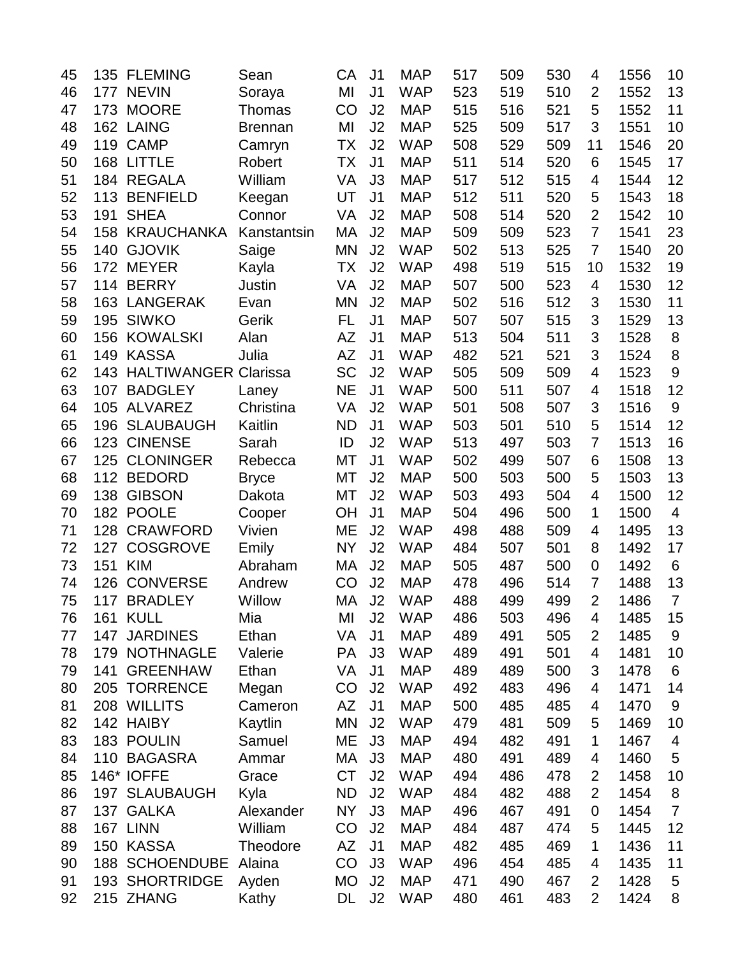| 45 | 135 | <b>FLEMING</b>              | Sean           | СA        | J <sub>1</sub> | <b>MAP</b> | 517 | 509 | 530 | 4              | 1556 | 10              |
|----|-----|-----------------------------|----------------|-----------|----------------|------------|-----|-----|-----|----------------|------|-----------------|
| 46 | 177 | <b>NEVIN</b>                | Soraya         | MI        | J <sub>1</sub> | <b>WAP</b> | 523 | 519 | 510 | $\overline{2}$ | 1552 | 13              |
| 47 | 173 | <b>MOORE</b>                | Thomas         | CO        | J <sub>2</sub> | <b>MAP</b> | 515 | 516 | 521 | 5              | 1552 | 11              |
| 48 |     | 162 LAING                   | <b>Brennan</b> | MI        | J2             | <b>MAP</b> | 525 | 509 | 517 | 3              | 1551 | 10              |
| 49 | 119 | <b>CAMP</b>                 | Camryn         | <b>TX</b> | J <sub>2</sub> | <b>WAP</b> | 508 | 529 | 509 | 11             | 1546 | 20              |
| 50 | 168 | <b>LITTLE</b>               | Robert         | ТX        | J <sub>1</sub> | <b>MAP</b> | 511 | 514 | 520 | 6              | 1545 | 17              |
| 51 | 184 | <b>REGALA</b>               | William        | VA        | J3             | <b>MAP</b> | 517 | 512 | 515 | 4              | 1544 | 12              |
| 52 | 113 | <b>BENFIELD</b>             | Keegan         | UT        | J <sub>1</sub> | <b>MAP</b> | 512 | 511 | 520 | 5              | 1543 | 18              |
| 53 | 191 | <b>SHEA</b>                 | Connor         | VA        | J2             | <b>MAP</b> | 508 | 514 | 520 | $\overline{2}$ | 1542 | 10              |
| 54 | 158 | <b>KRAUCHANKA</b>           | Kanstantsin    | MA        | J <sub>2</sub> | <b>MAP</b> | 509 | 509 | 523 | $\overline{7}$ | 1541 | 23              |
| 55 | 140 | <b>GJOVIK</b>               | Saige          | <b>MN</b> | J2             | <b>WAP</b> | 502 | 513 | 525 | $\overline{7}$ | 1540 | 20              |
| 56 | 172 | <b>MEYER</b>                | Kayla          | <b>TX</b> | J2             | <b>WAP</b> | 498 | 519 | 515 | 10             | 1532 | 19              |
| 57 | 114 | <b>BERRY</b>                | Justin         | VA        | J <sub>2</sub> | <b>MAP</b> | 507 | 500 | 523 | 4              | 1530 | 12              |
| 58 | 163 | <b>LANGERAK</b>             | Evan           | <b>MN</b> | J2             | <b>MAP</b> | 502 | 516 | 512 | 3              | 1530 | 11              |
| 59 | 195 | <b>SIWKO</b>                | Gerik          | FL        | J <sub>1</sub> | <b>MAP</b> | 507 | 507 | 515 | 3              | 1529 | 13              |
| 60 | 156 | <b>KOWALSKI</b>             | Alan           | AZ        | J <sub>1</sub> | <b>MAP</b> | 513 | 504 | 511 | 3              | 1528 | 8               |
| 61 | 149 | <b>KASSA</b>                | Julia          | <b>AZ</b> | J <sub>1</sub> | <b>WAP</b> | 482 | 521 | 521 | 3              | 1524 | $\,8\,$         |
| 62 | 143 | <b>HALTIWANGER Clarissa</b> |                | <b>SC</b> | J2             | <b>WAP</b> | 505 | 509 | 509 | 4              | 1523 | 9               |
| 63 | 107 | <b>BADGLEY</b>              | Laney          | <b>NE</b> | J <sub>1</sub> | <b>WAP</b> | 500 | 511 | 507 | 4              | 1518 | 12              |
| 64 | 105 | <b>ALVAREZ</b>              | Christina      | VA        | J <sub>2</sub> | <b>WAP</b> | 501 | 508 | 507 | 3              | 1516 | $9\,$           |
| 65 | 196 | <b>SLAUBAUGH</b>            | Kaitlin        | <b>ND</b> | J <sub>1</sub> | <b>WAP</b> | 503 | 501 | 510 | 5              | 1514 | 12              |
| 66 | 123 | <b>CINENSE</b>              | Sarah          | ID        | J2             | <b>WAP</b> | 513 | 497 | 503 | 7              | 1513 | 16              |
| 67 | 125 | <b>CLONINGER</b>            | Rebecca        | <b>MT</b> | J <sub>1</sub> | <b>WAP</b> | 502 | 499 | 507 | 6              | 1508 | 13              |
| 68 |     | 112 BEDORD                  | <b>Bryce</b>   | МT        | J2             | <b>MAP</b> | 500 | 503 | 500 | 5              | 1503 | 13              |
| 69 | 138 | <b>GIBSON</b>               | Dakota         | МT        | J2             | <b>WAP</b> | 503 | 493 | 504 | 4              | 1500 | 12              |
| 70 | 182 | <b>POOLE</b>                | Cooper         | <b>OH</b> | J <sub>1</sub> | <b>MAP</b> | 504 | 496 | 500 | 1              | 1500 | $\overline{4}$  |
| 71 | 128 | <b>CRAWFORD</b>             | Vivien         | ME        | J2             | <b>WAP</b> | 498 | 488 | 509 | 4              | 1495 | 13              |
| 72 | 127 | <b>COSGROVE</b>             | Emily          | <b>NY</b> | J2             | <b>WAP</b> | 484 | 507 | 501 | 8              | 1492 | 17              |
| 73 | 151 | <b>KIM</b>                  | Abraham        | МA        | J <sub>2</sub> | <b>MAP</b> | 505 | 487 | 500 | 0              | 1492 | $6\phantom{1}6$ |
| 74 | 126 | <b>CONVERSE</b>             | Andrew         | CO        | J <sub>2</sub> | <b>MAP</b> | 478 | 496 | 514 | $\overline{7}$ | 1488 | 13              |
| 75 | 117 | <b>BRADLEY</b>              | Willow         | MA        | J2             | <b>WAP</b> | 488 | 499 | 499 | $\overline{2}$ | 1486 | $\overline{7}$  |
| 76 |     | <b>161 KULL</b>             | Mia            | MI        | J <sub>2</sub> | <b>WAP</b> | 486 | 503 | 496 | 4              | 1485 | 15              |
| 77 | 147 | <b>JARDINES</b>             | Ethan          | VA        | J <sub>1</sub> | <b>MAP</b> | 489 | 491 | 505 | $\overline{2}$ | 1485 | 9               |
| 78 | 179 | <b>NOTHNAGLE</b>            | Valerie        | PA        | J3             | <b>WAP</b> | 489 | 491 | 501 | 4              | 1481 | 10              |
| 79 | 141 | <b>GREENHAW</b>             | Ethan          | VA        | J <sub>1</sub> | <b>MAP</b> | 489 | 489 | 500 | 3              | 1478 | 6               |
| 80 | 205 | <b>TORRENCE</b>             | Megan          | CO        | J <sub>2</sub> | <b>WAP</b> | 492 | 483 | 496 | 4              | 1471 | 14              |
| 81 |     | 208 WILLITS                 | Cameron        | AZ        | J <sub>1</sub> | <b>MAP</b> | 500 | 485 | 485 | 4              | 1470 | 9               |
| 82 |     | 142 HAIBY                   | Kaytlin        | <b>MN</b> | J <sub>2</sub> | <b>WAP</b> | 479 | 481 | 509 | 5              | 1469 | 10              |
| 83 |     | 183 POULIN                  | Samuel         | MЕ        | J3             | <b>MAP</b> | 494 | 482 | 491 | 1              | 1467 | 4               |
| 84 |     | 110 BAGASRA                 | Ammar          | МA        | J3             | <b>MAP</b> | 480 | 491 | 489 | 4              | 1460 | 5               |
| 85 |     | 146* IOFFE                  | Grace          | <b>CT</b> | J <sub>2</sub> | <b>WAP</b> | 494 | 486 | 478 | $\overline{2}$ | 1458 | 10              |
| 86 |     | 197 SLAUBAUGH               | Kyla           | <b>ND</b> | J <sub>2</sub> | <b>WAP</b> | 484 | 482 | 488 | $\overline{2}$ | 1454 | 8               |
| 87 |     | 137 GALKA                   | Alexander      | <b>NY</b> | J3             | <b>MAP</b> | 496 | 467 | 491 | $\mathbf 0$    | 1454 | $\overline{7}$  |
| 88 |     | 167 LINN                    | William        | CO        | J <sub>2</sub> | <b>MAP</b> | 484 | 487 | 474 | 5              | 1445 | 12              |
| 89 |     | 150 KASSA                   | Theodore       | AZ        | J <sub>1</sub> | <b>MAP</b> | 482 | 485 | 469 | 1              | 1436 | 11              |
| 90 | 188 | <b>SCHOENDUBE</b>           | Alaina         | CO        | J3             | <b>WAP</b> | 496 | 454 | 485 | 4              | 1435 | 11              |
| 91 |     | 193 SHORTRIDGE              | Ayden          | MO        | J <sub>2</sub> | <b>MAP</b> | 471 | 490 | 467 | $\overline{2}$ | 1428 | 5               |
| 92 |     | 215 ZHANG                   | Kathy          | DL        | J2             | <b>WAP</b> | 480 | 461 | 483 | $\overline{2}$ | 1424 | 8               |
|    |     |                             |                |           |                |            |     |     |     |                |      |                 |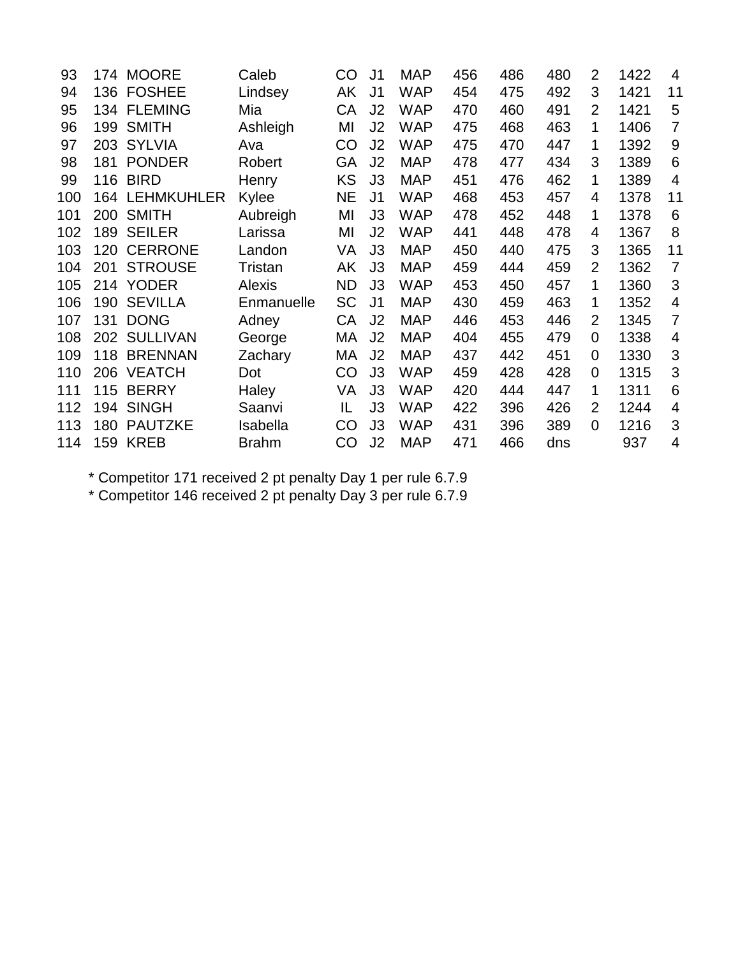| 93  |     | 174 MOORE         | Caleb        | CO        | J1             | <b>MAP</b> | 456 | 486 | 480 | 2              | 1422 | $\overline{4}$ |
|-----|-----|-------------------|--------------|-----------|----------------|------------|-----|-----|-----|----------------|------|----------------|
| 94  | 136 | <b>FOSHEE</b>     | Lindsey      | AK        | J <sub>1</sub> | <b>WAP</b> | 454 | 475 | 492 | 3              | 1421 | 11             |
| 95  | 134 | <b>FLEMING</b>    | Mia          | <b>CA</b> | J <sub>2</sub> | <b>WAP</b> | 470 | 460 | 491 | $\overline{2}$ | 1421 | 5              |
| 96  | 199 | <b>SMITH</b>      | Ashleigh     | MI        | J2             | <b>WAP</b> | 475 | 468 | 463 | 1              | 1406 | 7              |
| 97  | 203 | <b>SYLVIA</b>     | Ava          | CO        | J2             | <b>WAP</b> | 475 | 470 | 447 | 1              | 1392 | 9              |
| 98  | 181 | <b>PONDER</b>     | Robert       | GA        | J2             | <b>MAP</b> | 478 | 477 | 434 | 3              | 1389 | 6              |
| 99  | 116 | <b>BIRD</b>       | Henry        | KS        | J3             | <b>MAP</b> | 451 | 476 | 462 | 1              | 1389 | $\overline{4}$ |
| 100 | 164 | <b>LEHMKUHLER</b> | Kylee        | <b>NE</b> | J <sub>1</sub> | <b>WAP</b> | 468 | 453 | 457 | 4              | 1378 | 11             |
| 101 | 200 | <b>SMITH</b>      | Aubreigh     | MI        | J3             | <b>WAP</b> | 478 | 452 | 448 | 1              | 1378 | 6              |
| 102 | 189 | <b>SEILER</b>     | Larissa      | MI        | J2             | <b>WAP</b> | 441 | 448 | 478 | 4              | 1367 | 8              |
| 103 | 120 | <b>CERRONE</b>    | Landon       | VA        | J3             | <b>MAP</b> | 450 | 440 | 475 | 3              | 1365 | 11             |
| 104 | 201 | <b>STROUSE</b>    | Tristan      | AK        | J3             | <b>MAP</b> | 459 | 444 | 459 | $\overline{2}$ | 1362 | $\overline{7}$ |
| 105 | 214 | <b>YODER</b>      | Alexis       | <b>ND</b> | J3             | <b>WAP</b> | 453 | 450 | 457 | 1              | 1360 | 3              |
| 106 | 190 | <b>SEVILLA</b>    | Enmanuelle   | <b>SC</b> | J <sub>1</sub> | <b>MAP</b> | 430 | 459 | 463 | 1              | 1352 | $\overline{4}$ |
| 107 | 131 | <b>DONG</b>       | Adney        | CA        | J2             | <b>MAP</b> | 446 | 453 | 446 | $\overline{2}$ | 1345 | $\overline{7}$ |
| 108 | 202 | <b>SULLIVAN</b>   | George       | МA        | J2             | <b>MAP</b> | 404 | 455 | 479 | 0              | 1338 | 4              |
| 109 | 118 | <b>BRENNAN</b>    | Zachary      | МA        | J <sub>2</sub> | <b>MAP</b> | 437 | 442 | 451 | 0              | 1330 | 3              |
| 110 | 206 | <b>VEATCH</b>     | Dot          | CO        | J3             | <b>WAP</b> | 459 | 428 | 428 | 0              | 1315 | 3              |
| 111 | 115 | <b>BERRY</b>      | Haley        | VA        | J3             | <b>WAP</b> | 420 | 444 | 447 | 1              | 1311 | 6              |
| 112 | 194 | <b>SINGH</b>      | Saanvi       | IL        | J3             | <b>WAP</b> | 422 | 396 | 426 | $\overline{2}$ | 1244 | $\overline{4}$ |
| 113 | 180 | <b>PAUTZKE</b>    | Isabella     | CO        | J3             | <b>WAP</b> | 431 | 396 | 389 | $\overline{0}$ | 1216 | 3              |
| 114 |     | <b>159 KREB</b>   | <b>Brahm</b> | CO        | J <sub>2</sub> | <b>MAP</b> | 471 | 466 | dns |                | 937  | 4              |

\* Competitor 171 received 2 pt penalty Day 1 per rule 6.7.9

\* Competitor 146 received 2 pt penalty Day 3 per rule 6.7.9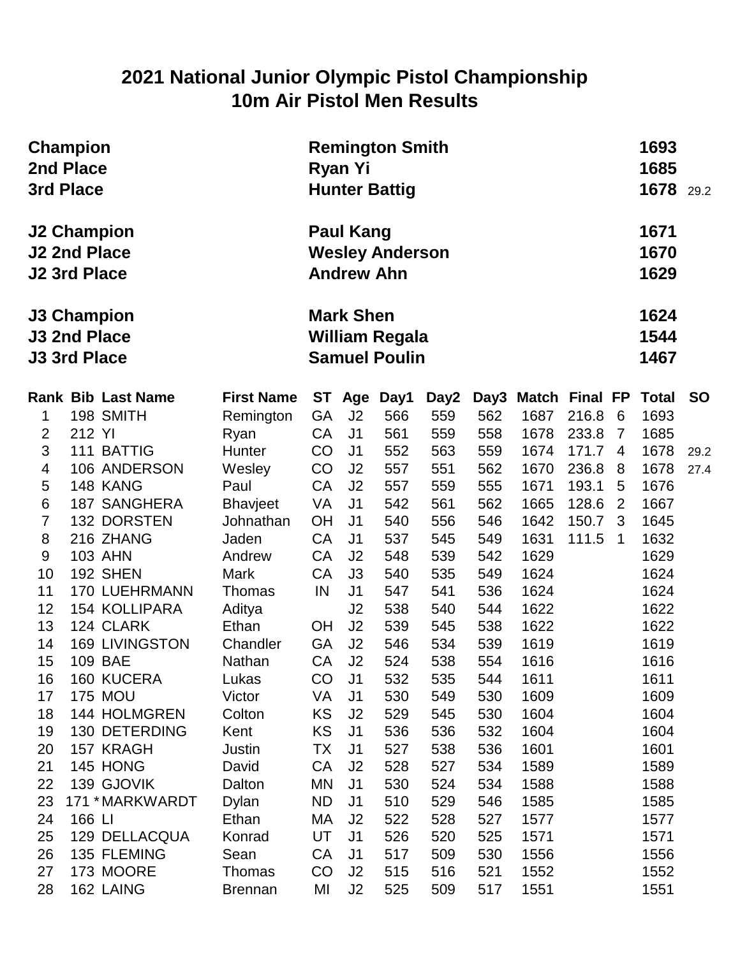### **2021 National Junior Olympic Pistol Championship 10m Air Pistol Men Results**

|                         | <b>Champion</b><br>2nd Place<br>3rd Place                        |                       |                                                                   |                                       | <b>Remington Smith</b><br>Ryan Yi<br><b>Hunter Battig</b> |            |            |                       |       |                |                      |           |  |
|-------------------------|------------------------------------------------------------------|-----------------------|-------------------------------------------------------------------|---------------------------------------|-----------------------------------------------------------|------------|------------|-----------------------|-------|----------------|----------------------|-----------|--|
|                         | <b>J2 Champion</b><br><b>J2 2nd Place</b><br><b>J2 3rd Place</b> |                       |                                                                   | <b>Paul Kang</b><br><b>Andrew Ahn</b> | <b>Wesley Anderson</b>                                    |            |            |                       |       |                | 1671<br>1670<br>1629 |           |  |
|                         | <b>J3 Champion</b><br><b>J3 2nd Place</b><br><b>J3 3rd Place</b> |                       | <b>Mark Shen</b><br><b>William Regala</b><br><b>Samuel Poulin</b> |                                       |                                                           |            |            |                       |       |                |                      |           |  |
|                         | <b>Rank Bib Last Name</b>                                        | <b>First Name</b>     | ST                                                                | Age                                   | Day1                                                      | Day2       | Day3       | <b>Match Final FP</b> |       |                | <b>Total</b>         | <b>SO</b> |  |
| 1                       | 198 SMITH                                                        | Remington             | <b>GA</b>                                                         | J <sub>2</sub>                        | 566                                                       | 559        | 562        | 1687                  | 216.8 | 6              | 1693                 |           |  |
| $\overline{2}$          | 212 YI                                                           | Ryan                  | CA                                                                | J <sub>1</sub>                        | 561                                                       | 559        | 558        | 1678                  | 233.8 | $\overline{7}$ | 1685                 |           |  |
| 3                       | 111 BATTIG                                                       | Hunter                | CO                                                                | J <sub>1</sub>                        | 552                                                       | 563        | 559        | 1674                  | 171.7 | $\overline{4}$ | 1678                 | 29.2      |  |
| $\overline{\mathbf{4}}$ | 106 ANDERSON                                                     | Wesley                | CO                                                                | J <sub>2</sub>                        | 557                                                       | 551        | 562        | 1670                  | 236.8 | 8              | 1678                 | 27.4      |  |
| 5                       | 148 KANG                                                         | Paul                  | <b>CA</b>                                                         | J <sub>2</sub>                        | 557                                                       | 559        | 555        | 1671                  | 193.1 | 5              | 1676                 |           |  |
| 6                       | <b>187 SANGHERA</b>                                              | <b>Bhavjeet</b>       | <b>VA</b>                                                         | J <sub>1</sub>                        | 542                                                       | 561        | 562        | 1665                  | 128.6 | $\overline{2}$ | 1667                 |           |  |
| $\overline{7}$          | 132 DORSTEN                                                      | Johnathan             | OH                                                                | J <sub>1</sub>                        | 540                                                       | 556        | 546        | 1642                  | 150.7 | 3              | 1645                 |           |  |
| 8                       | 216 ZHANG                                                        | Jaden                 | <b>CA</b>                                                         | J <sub>1</sub>                        | 537                                                       | 545        | 549        | 1631                  | 111.5 | $\overline{1}$ | 1632                 |           |  |
| $9\,$<br>10             | <b>103 AHN</b><br>192 SHEN                                       | Andrew<br><b>Mark</b> | CA<br>CA                                                          | J <sub>2</sub><br>J3                  | 548<br>540                                                | 539<br>535 | 542<br>549 | 1629<br>1624          |       |                | 1629<br>1624         |           |  |
| 11                      | <b>170 LUEHRMANN</b>                                             | <b>Thomas</b>         | IN                                                                | J <sub>1</sub>                        | 547                                                       | 541        | 536        | 1624                  |       |                | 1624                 |           |  |
| 12                      | 154 KOLLIPARA                                                    | Aditya                |                                                                   | J2                                    | 538                                                       | 540        | 544        | 1622                  |       |                | 1622                 |           |  |
| 13                      | 124 CLARK                                                        | Ethan                 | <b>OH</b>                                                         | J <sub>2</sub>                        | 539                                                       | 545        | 538        | 1622                  |       |                | 1622                 |           |  |
| 14                      | <b>169 LIVINGSTON</b>                                            | Chandler              | <b>GA</b>                                                         | J <sub>2</sub>                        | 546                                                       | 534        | 539        | 1619                  |       |                | 1619                 |           |  |
| 15                      | <b>109 BAE</b>                                                   | Nathan                | CA                                                                | J <sub>2</sub>                        | 524                                                       | 538        | 554        | 1616                  |       |                | 1616                 |           |  |
| 16                      | 160 KUCERA                                                       | Lukas                 | CO                                                                | J <sub>1</sub>                        | 532                                                       | 535        | 544        | 1611                  |       |                | 1611                 |           |  |
| 17                      | <b>175 MOU</b>                                                   | Victor                | VA                                                                | J <sub>1</sub>                        | 530                                                       | 549        | 530        | 1609                  |       |                | 1609                 |           |  |
| 18                      | 144 HOLMGREN                                                     | Colton                | KS                                                                | J <sub>2</sub>                        | 529                                                       | 545        | 530        | 1604                  |       |                | 1604                 |           |  |
| 19                      | 130 DETERDING                                                    | Kent                  | <b>KS</b>                                                         | J <sub>1</sub>                        | 536                                                       | 536        | 532        | 1604                  |       |                | 1604                 |           |  |
| 20                      | 157 KRAGH                                                        | Justin                | ТX                                                                | J <sub>1</sub>                        | 527                                                       | 538        | 536        | 1601                  |       |                | 1601                 |           |  |
| 21                      | 145 HONG                                                         | David                 | CA                                                                | J2                                    | 528                                                       | 527        | 534        | 1589                  |       |                | 1589                 |           |  |
| 22                      | 139 GJOVIK                                                       | Dalton                | <b>MN</b>                                                         | J <sub>1</sub>                        | 530                                                       | 524        | 534        | 1588                  |       |                | 1588                 |           |  |
| 23                      | 171 * MARKWARDT                                                  | <b>Dylan</b>          | <b>ND</b>                                                         | J <sub>1</sub>                        | 510                                                       | 529        | 546        | 1585                  |       |                | 1585                 |           |  |
| 24                      | 166 LI                                                           | Ethan                 | MA                                                                | J <sub>2</sub>                        | 522                                                       | 528        | 527        | 1577                  |       |                | 1577                 |           |  |
| 25                      | 129 DELLACQUA                                                    | Konrad                | UT                                                                | J <sub>1</sub>                        | 526                                                       | 520        | 525        | 1571                  |       |                | 1571                 |           |  |
| 26                      | 135 FLEMING                                                      | Sean                  | CA                                                                | J <sub>1</sub>                        | 517                                                       | 509        | 530        | 1556                  |       |                | 1556                 |           |  |
| 27                      | 173 MOORE                                                        | Thomas                | CO                                                                | J <sub>2</sub>                        | 515                                                       | 516        | 521        | 1552                  |       |                | 1552                 |           |  |
| 28                      | 162 LAING                                                        | <b>Brennan</b>        | MI                                                                | J2                                    | 525                                                       | 509        | 517        | 1551                  |       |                | 1551                 |           |  |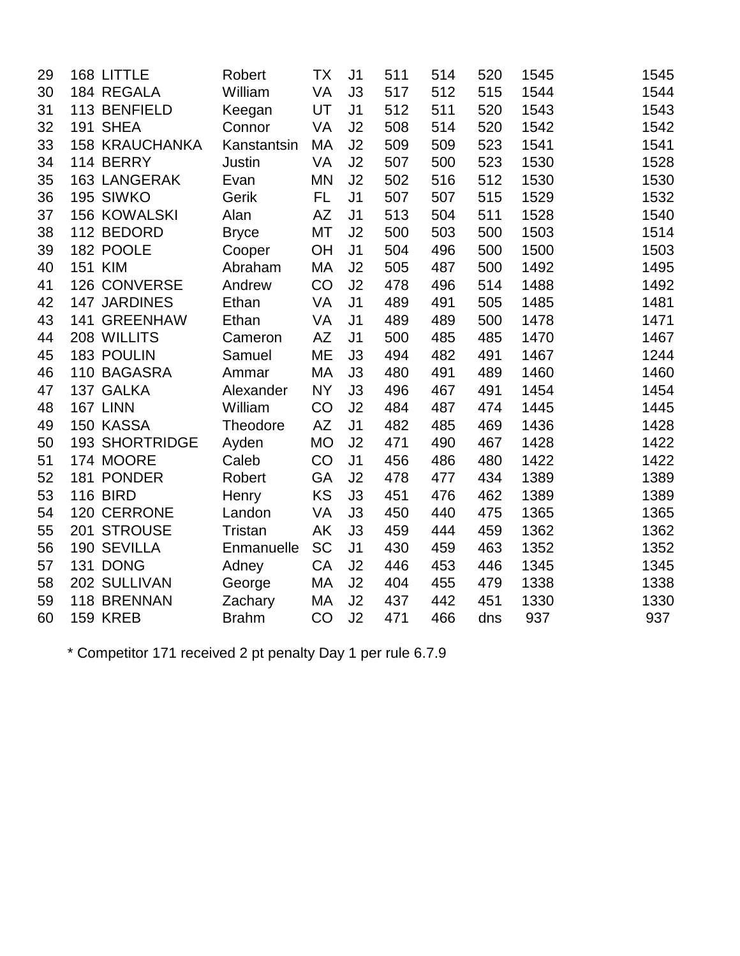| 29 | 168 LITTLE            | Robert          | ТX        | J <sub>1</sub> | 511 | 514 | 520 | 1545 | 1545 |
|----|-----------------------|-----------------|-----------|----------------|-----|-----|-----|------|------|
| 30 | 184 REGALA            | William         | VA        | J3             | 517 | 512 | 515 | 1544 | 1544 |
| 31 | 113 BENFIELD          | Keegan          | UT        | J <sub>1</sub> | 512 | 511 | 520 | 1543 | 1543 |
| 32 | 191 SHEA              | Connor          | VA        | J2             | 508 | 514 | 520 | 1542 | 1542 |
| 33 | <b>158 KRAUCHANKA</b> | Kanstantsin     | MA        | J2             | 509 | 509 | 523 | 1541 | 1541 |
| 34 | 114 BERRY             | Justin          | <b>VA</b> | J2             | 507 | 500 | 523 | 1530 | 1528 |
| 35 | <b>163 LANGERAK</b>   | Evan            | MN        | J2             | 502 | 516 | 512 | 1530 | 1530 |
| 36 | 195 SIWKO             | Gerik           | FL.       | J <sub>1</sub> | 507 | 507 | 515 | 1529 | 1532 |
| 37 | <b>156 KOWALSKI</b>   | Alan            | <b>AZ</b> | J <sub>1</sub> | 513 | 504 | 511 | 1528 | 1540 |
| 38 | 112 BEDORD            | <b>Bryce</b>    | MT        | J2             | 500 | 503 | 500 | 1503 | 1514 |
| 39 | 182 POOLE             | Cooper          | OH        | J <sub>1</sub> | 504 | 496 | 500 | 1500 | 1503 |
| 40 | <b>151 KIM</b>        | Abraham         | MA        | J2             | 505 | 487 | 500 | 1492 | 1495 |
| 41 | 126 CONVERSE          | Andrew          | CO        | J2             | 478 | 496 | 514 | 1488 | 1492 |
| 42 | 147 JARDINES          | Ethan           | <b>VA</b> | J <sub>1</sub> | 489 | 491 | 505 | 1485 | 1481 |
| 43 | 141 GREENHAW          | Ethan           | VA        | J <sub>1</sub> | 489 | 489 | 500 | 1478 | 1471 |
| 44 | 208 WILLITS           | Cameron         | <b>AZ</b> | J <sub>1</sub> | 500 | 485 | 485 | 1470 | 1467 |
| 45 | 183 POULIN            | Samuel          | ME        | J3             | 494 | 482 | 491 | 1467 | 1244 |
| 46 | 110 BAGASRA           | Ammar           | <b>MA</b> | J3             | 480 | 491 | 489 | 1460 | 1460 |
| 47 | 137 GALKA             | Alexander       | <b>NY</b> | J3             | 496 | 467 | 491 | 1454 | 1454 |
| 48 | 167 LINN              | William         | CO        | J2             | 484 | 487 | 474 | 1445 | 1445 |
| 49 | 150 KASSA             | <b>Theodore</b> | <b>AZ</b> | J <sub>1</sub> | 482 | 485 | 469 | 1436 | 1428 |
| 50 | <b>193 SHORTRIDGE</b> | Ayden           | <b>MO</b> | J2             | 471 | 490 | 467 | 1428 | 1422 |
| 51 | 174 MOORE             | Caleb           | CO        | J <sub>1</sub> | 456 | 486 | 480 | 1422 | 1422 |
| 52 | 181 PONDER            | Robert          | GA        | J2             | 478 | 477 | 434 | 1389 | 1389 |
| 53 | <b>116 BIRD</b>       | Henry           | <b>KS</b> | J3             | 451 | 476 | 462 | 1389 | 1389 |
| 54 | 120 CERRONE           | Landon          | VA        | J3             | 450 | 440 | 475 | 1365 | 1365 |
| 55 | 201 STROUSE           | Tristan         | <b>AK</b> | J3             | 459 | 444 | 459 | 1362 | 1362 |
| 56 | 190 SEVILLA           | Enmanuelle      | <b>SC</b> | J <sub>1</sub> | 430 | 459 | 463 | 1352 | 1352 |
| 57 | 131 DONG              | Adney           | CA        | J2             | 446 | 453 | 446 | 1345 | 1345 |
| 58 | 202 SULLIVAN          | George          | МA        | J2             | 404 | 455 | 479 | 1338 | 1338 |
| 59 | 118 BRENNAN           | Zachary         | MA        | J2             | 437 | 442 | 451 | 1330 | 1330 |
| 60 | <b>159 KREB</b>       | <b>Brahm</b>    | CO        | J2             | 471 | 466 | dns | 937  | 937  |

\* Competitor 171 received 2 pt penalty Day 1 per rule 6.7.9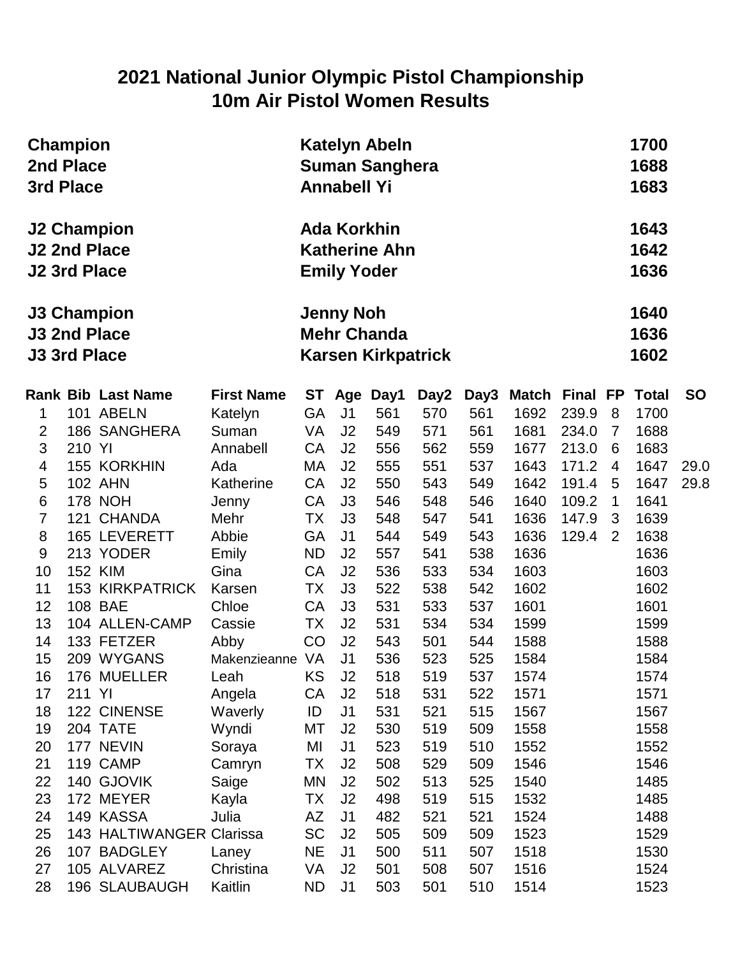### **2021 National Junior Olympic Pistol Championship 10m Air Pistol Women Results**

| <b>Champion</b><br>2nd Place<br>3rd Place                        |        |                           |                   |           | <b>Katelyn Abeln</b><br><b>Suman Sanghera</b><br><b>Annabell Yi</b>                         |                      | 1700<br>1688<br>1683 |            |              |          |              |                      |           |
|------------------------------------------------------------------|--------|---------------------------|-------------------|-----------|---------------------------------------------------------------------------------------------|----------------------|----------------------|------------|--------------|----------|--------------|----------------------|-----------|
| <b>J2 2nd Place</b><br><b>J2 3rd Place</b>                       |        | <b>J2 Champion</b>        |                   |           | <b>Ada Korkhin</b><br><b>Emily Yoder</b>                                                    | <b>Katherine Ahn</b> |                      |            |              |          |              | 1643<br>1642<br>1636 |           |
| <b>J3 Champion</b><br><b>J3 2nd Place</b><br><b>J3 3rd Place</b> |        |                           |                   |           | 1640<br><b>Jenny Noh</b><br><b>Mehr Chanda</b><br>1636<br>1602<br><b>Karsen Kirkpatrick</b> |                      |                      |            |              |          |              |                      |           |
|                                                                  |        | <b>Rank Bib Last Name</b> | <b>First Name</b> |           |                                                                                             | ST Age Day1          | Day2                 | Day3       | Match        | Final FP |              | <b>Total</b>         | <b>SO</b> |
| 1                                                                |        | 101 ABELN                 | Katelyn           | GA        | J <sub>1</sub>                                                                              | 561                  | 570                  | 561        | 1692         | 239.9    | 8            | 1700                 |           |
| $\overline{2}$                                                   |        | 186 SANGHERA              | Suman             | VA        | J <sub>2</sub>                                                                              | 549                  | 571                  | 561        | 1681         | 234.0    | 7            | 1688                 |           |
| 3                                                                | 210 YI |                           | Annabell          | <b>CA</b> | J <sub>2</sub>                                                                              | 556                  | 562                  | 559        | 1677         | 213.0    | 6            | 1683                 |           |
| $\overline{\mathbf{4}}$                                          |        | <b>155 KORKHIN</b>        | Ada               | МA        | J <sub>2</sub>                                                                              | 555                  | 551                  | 537        | 1643         | 171.2    | 4            | 1647                 | 29.0      |
| 5                                                                |        | <b>102 AHN</b>            | Katherine         | <b>CA</b> | J <sub>2</sub>                                                                              | 550                  | 543                  | 549        | 1642         | 191.4    | 5            | 1647                 | 29.8      |
| $\,6$                                                            |        | <b>178 NOH</b>            | Jenny             | <b>CA</b> | J3                                                                                          | 546                  | 548                  | 546        | 1640         | 109.2    | $\mathbf{1}$ | 1641                 |           |
| $\overline{7}$                                                   |        | 121 CHANDA                | Mehr              | ТX        | J3                                                                                          | 548                  | 547                  | 541        | 1636         | 147.9    | 3            | 1639                 |           |
| $\bf 8$                                                          |        | 165 LEVERETT              | Abbie             | GA        | J <sub>1</sub>                                                                              | 544                  | 549                  | 543        | 1636         | 129.4    | 2            | 1638                 |           |
| $9\,$                                                            |        | 213 YODER                 | Emily             | <b>ND</b> | J <sub>2</sub>                                                                              | 557                  | 541                  | 538        | 1636         |          |              | 1636                 |           |
| 10                                                               |        | <b>152 KIM</b>            | Gina              | CA        | J <sub>2</sub>                                                                              | 536                  | 533                  | 534        | 1603         |          |              | 1603                 |           |
| 11                                                               |        | <b>153 KIRKPATRICK</b>    | Karsen            | <b>TX</b> | J <sub>3</sub>                                                                              | 522                  | 538                  | 542        | 1602         |          |              | 1602                 |           |
| 12                                                               |        | 108 BAE                   | Chloe             | CA        | J3                                                                                          | 531                  | 533                  | 537        | 1601         |          |              | 1601                 |           |
| 13                                                               |        | 104 ALLEN-CAMP            | Cassie            | <b>TX</b> | J <sub>2</sub>                                                                              | 531                  | 534                  | 534        | 1599         |          |              | 1599                 |           |
| 14                                                               |        | 133 FETZER                | Abby              | CO        | J <sub>2</sub>                                                                              | 543                  | 501                  | 544        | 1588         |          |              | 1588                 |           |
| 15<br>16                                                         |        | 209 WYGANS                | Makenzieanne VA   | KS        | J <sub>1</sub><br>J2                                                                        | 536<br>518           | 523<br>519           | 525<br>537 | 1584<br>1574 |          |              | 1584<br>1574         |           |
| 17                                                               | 211 YI | 176 MUELLER               | Leah              | CA        | J <sub>2</sub>                                                                              | 518                  | 531                  | 522        | 1571         |          |              | 1571                 |           |
| 18                                                               |        | 122 CINENSE               | Angela<br>Waverly | ID        | J <sub>1</sub>                                                                              | 531                  | 521                  | 515        | 1567         |          |              | 1567                 |           |
| 19                                                               |        | 204 TATE                  | Wyndi             | MT        | J <sub>2</sub>                                                                              | 530                  | 519                  | 509        | 1558         |          |              | 1558                 |           |
| 20                                                               |        | 177 NEVIN                 | Soraya            | MI        | J <sub>1</sub>                                                                              | 523                  | 519                  | 510        | 1552         |          |              | 1552                 |           |
| 21                                                               |        | 119 CAMP                  | Camryn            | ТX        | J <sub>2</sub>                                                                              | 508                  | 529                  | 509        | 1546         |          |              | 1546                 |           |
| 22                                                               |        | 140 GJOVIK                | Saige             | MN        | J2                                                                                          | 502                  | 513                  | 525        | 1540         |          |              | 1485                 |           |
| 23                                                               |        | 172 MEYER                 | Kayla             | ТX        | J2                                                                                          | 498                  | 519                  | 515        | 1532         |          |              | 1485                 |           |
| 24                                                               |        | 149 KASSA                 | Julia             | AZ        | J <sub>1</sub>                                                                              | 482                  | 521                  | 521        | 1524         |          |              | 1488                 |           |
| 25                                                               |        | 143 HALTIWANGER Clarissa  |                   | <b>SC</b> | J <sub>2</sub>                                                                              | 505                  | 509                  | 509        | 1523         |          |              | 1529                 |           |
| 26                                                               |        | 107 BADGLEY               | Laney             | <b>NE</b> | J <sub>1</sub>                                                                              | 500                  | 511                  | 507        | 1518         |          |              | 1530                 |           |
| 27                                                               |        | 105 ALVAREZ               | Christina         | VA        | J <sub>2</sub>                                                                              | 501                  | 508                  | 507        | 1516         |          |              | 1524                 |           |
| 28                                                               |        | 196 SLAUBAUGH             | Kaitlin           | <b>ND</b> | J <sub>1</sub>                                                                              | 503                  | 501                  | 510        | 1514         |          |              | 1523                 |           |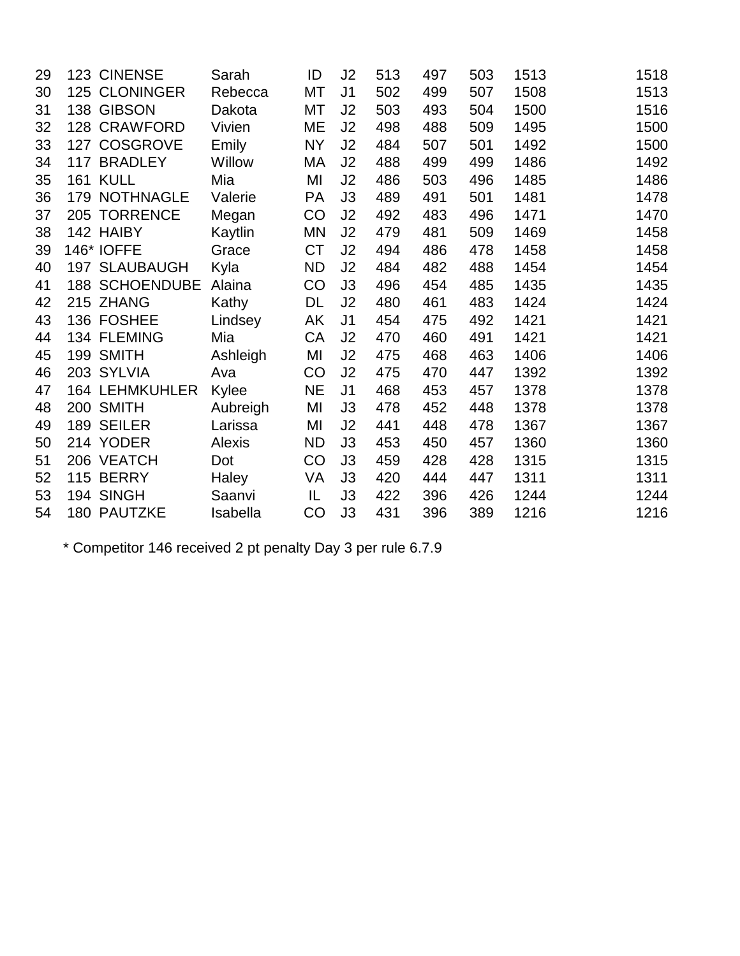| 29 |     | 123 CINENSE           | Sarah    | ID        | J2             | 513 | 497 | 503 | 1513 | 1518 |
|----|-----|-----------------------|----------|-----------|----------------|-----|-----|-----|------|------|
| 30 |     | 125 CLONINGER         | Rebecca  | МT        | J <sub>1</sub> | 502 | 499 | 507 | 1508 | 1513 |
| 31 |     | 138 GIBSON            | Dakota   | МT        | J2             | 503 | 493 | 504 | 1500 | 1516 |
| 32 |     | 128 CRAWFORD          | Vivien   | ME        | J2             | 498 | 488 | 509 | 1495 | 1500 |
| 33 |     | 127 COSGROVE          | Emily    | <b>NY</b> | J2             | 484 | 507 | 501 | 1492 | 1500 |
| 34 |     | 117 BRADLEY           | Willow   | МA        | J2             | 488 | 499 | 499 | 1486 | 1492 |
| 35 |     | <b>161 KULL</b>       | Mia      | MI        | J2             | 486 | 503 | 496 | 1485 | 1486 |
| 36 |     | 179 NOTHNAGLE         | Valerie  | <b>PA</b> | J3             | 489 | 491 | 501 | 1481 | 1478 |
| 37 |     | 205 TORRENCE          | Megan    | CO        | J2             | 492 | 483 | 496 | 1471 | 1470 |
| 38 |     | 142 HAIBY             | Kaytlin  | ΜN        | J2             | 479 | 481 | 509 | 1469 | 1458 |
| 39 |     | 146* IOFFE            | Grace    | <b>CT</b> | J2             | 494 | 486 | 478 | 1458 | 1458 |
| 40 |     | <b>197 SLAUBAUGH</b>  | Kyla     | <b>ND</b> | J2             | 484 | 482 | 488 | 1454 | 1454 |
| 41 |     | <b>188 SCHOENDUBE</b> | Alaina   | CO        | J3             | 496 | 454 | 485 | 1435 | 1435 |
| 42 |     | 215 ZHANG             | Kathy    | DL        | J2             | 480 | 461 | 483 | 1424 | 1424 |
| 43 |     | 136 FOSHEE            | Lindsey  | AK        | J <sub>1</sub> | 454 | 475 | 492 | 1421 | 1421 |
| 44 |     | 134 FLEMING           | Mia      | CA        | J2             | 470 | 460 | 491 | 1421 | 1421 |
| 45 |     | 199 SMITH             | Ashleigh | MI        | J2             | 475 | 468 | 463 | 1406 | 1406 |
| 46 |     | 203 SYLVIA            | Ava      | CO        | J2             | 475 | 470 | 447 | 1392 | 1392 |
| 47 |     | <b>164 LEHMKUHLER</b> | Kylee    | <b>NE</b> | J <sub>1</sub> | 468 | 453 | 457 | 1378 | 1378 |
| 48 |     | 200 SMITH             | Aubreigh | MI        | J3             | 478 | 452 | 448 | 1378 | 1378 |
| 49 |     | 189 SEILER            | Larissa  | MI        | J2             | 441 | 448 | 478 | 1367 | 1367 |
| 50 |     | 214 YODER             | Alexis   | <b>ND</b> | J3             | 453 | 450 | 457 | 1360 | 1360 |
| 51 |     | 206 VEATCH            | Dot      | CO        | J3             | 459 | 428 | 428 | 1315 | 1315 |
| 52 | 115 | <b>BERRY</b>          | Haley    | VA        | J3             | 420 | 444 | 447 | 1311 | 1311 |
| 53 |     | 194 SINGH             | Saanvi   | IL        | J3             | 422 | 396 | 426 | 1244 | 1244 |
| 54 |     | <b>180 PAUTZKE</b>    | Isabella | CO        | J3             | 431 | 396 | 389 | 1216 | 1216 |

\* Competitor 146 received 2 pt penalty Day 3 per rule 6.7.9